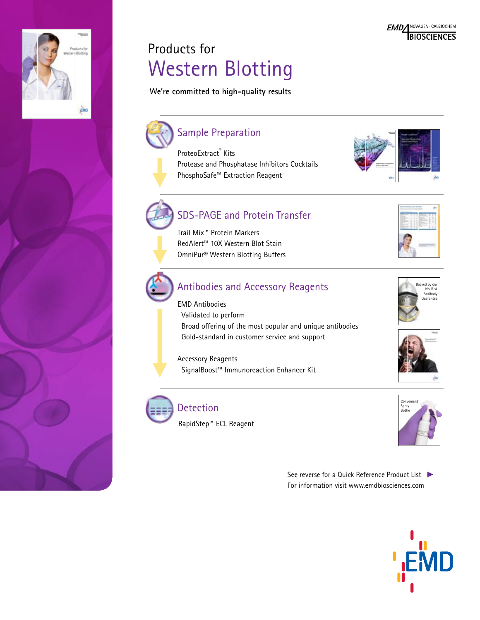## Products for Western Blotting

**We're committed to high-quality results**



Trail Mix™ Protein Markers RedAlert™ 10X Western Blot Stain OmniPur® Western Blotting Buffers

## Antibodies and Accessory Reagents

EMD Antibodies Validated to perform Broad offering of the most popular and unique antibodies Gold-standard in customer service and support

Accessory Reagents SignalBoost™ Immunoreaction Enhancer Kit



гÂю

## Detection

RapidStep™ ECL Reagent







See reverse for a Quick Reference Product List For information visit www.emdbiosciences.com